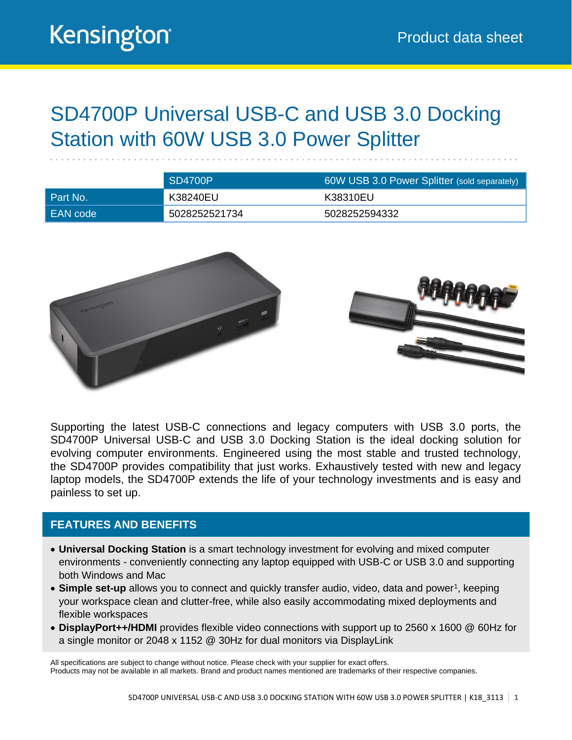### SD4700P Universal USB-C and USB 3.0 Docking Station with 60W USB 3.0 Power Splitter

|          | SD4700P       | 60W USB 3.0 Power Splitter (sold separately) |  |
|----------|---------------|----------------------------------------------|--|
| Part No. | K38240EU      | K38310EU                                     |  |
| EAN code | 5028252521734 | 5028252594332                                |  |



Supporting the latest USB-C connections and legacy computers with USB 3.0 ports, the SD4700P Universal USB-C and USB 3.0 Docking Station is the ideal docking solution for evolving computer environments. Engineered using the most stable and trusted technology, the SD4700P provides compatibility that just works. Exhaustively tested with new and legacy laptop models, the SD4700P extends the life of your technology investments and is easy and painless to set up.

#### **FEATURES AND BENEFITS**

- **Universal Docking Station** is a smart technology investment for evolving and mixed computer environments - conveniently connecting any laptop equipped with USB-C or USB 3.0 and supporting both Windows and Mac
- Simple set-up allows you to connect and quickly transfer audio, video, data and power<sup>1</sup>, keeping your workspace clean and clutter-free, while also easily accommodating mixed deployments and flexible workspaces
- **DisplayPort++/HDMI** provides flexible video connections with support up to 2560 x 1600 @ 60Hz for a single monitor or 2048 x 1152 @ 30Hz for dual monitors via DisplayLink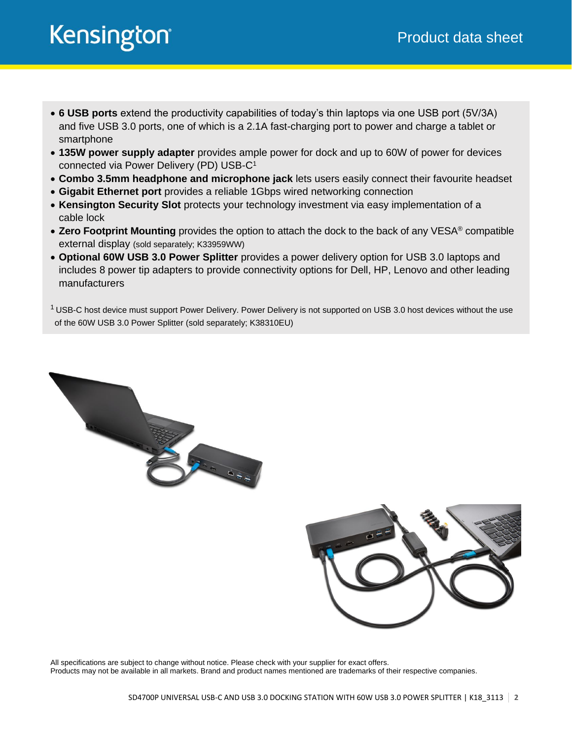- **6 USB ports** extend the productivity capabilities of today's thin laptops via one USB port (5V/3A) and five USB 3.0 ports, one of which is a 2.1A fast-charging port to power and charge a tablet or smartphone
- **135W power supply adapter** provides ample power for dock and up to 60W of power for devices connected via Power Delivery (PD) USB-C<sup>1</sup>
- **Combo 3.5mm headphone and microphone jack** lets users easily connect their favourite headset
- **Gigabit Ethernet port** provides a reliable 1Gbps wired networking connection
- **Kensington Security Slot** protects your technology investment via easy implementation of a cable lock
- **Zero Footprint Mounting** provides the option to attach the dock to the back of any VESA® compatible external display (sold separately; K33959WW)
- **Optional 60W USB 3.0 Power Splitter** provides a power delivery option for USB 3.0 laptops and includes 8 power tip adapters to provide connectivity options for Dell, HP, Lenovo and other leading manufacturers

 $1$  USB-C host device must support Power Delivery. Power Delivery is not supported on USB 3.0 host devices without the use of the 60W USB 3.0 Power Splitter (sold separately; K38310EU)



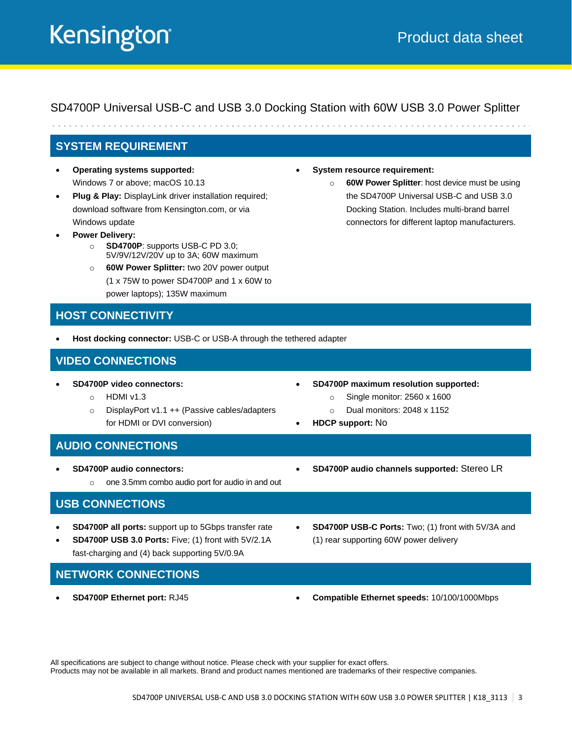SD4700P Universal USB-C and USB 3.0 Docking Station with 60W USB 3.0 Power Splitter

#### **SYSTEM REQUIREMENT**

- **Operating systems supported:** Windows 7 or above; macOS 10.13
- **Plug & Play:** DisplayLink driver installation required; download software from Kensington.com, or via Windows update
- **Power Delivery:** 
	- o **SD4700P**: supports USB-C PD 3.0; 5V/9V/12V/20V up to 3A; 60W maximum
	- o **60W Power Splitter:** two 20V power output (1 x 75W to power SD4700P and 1 x 60W to
		- power laptops); 135W maximum

#### **HOST CONNECTIVITY**

• **Host docking connector:** USB-C or USB-A through the tethered adapter

#### **VIDEO CONNECTIONS**

- **SD4700P video connectors:**
	- o HDMI v1.3
	- o DisplayPort v1.1 ++ (Passive cables/adapters for HDMI or DVI conversion)
- **System resource requirement:** 
	- o **60W Power Splitter**: host device must be using the SD4700P Universal USB-C and USB 3.0 Docking Station. Includes multi-brand barrel connectors for different laptop manufacturers.

- **SD4700P maximum resolution supported:**
	- o Single monitor: 2560 x 1600
		- o Dual monitors: 2048 x 1152
- **HDCP support:** No

#### **AUDIO CONNECTIONS**

- **SD4700P audio connectors:**
	- o one 3.5mm combo audio port for audio in and out

#### **USB CONNECTIONS**

- **SD4700P all ports:** support up to 5Gbps transfer rate
- **SD4700P USB 3.0 Ports:** Five; (1) front with 5V/2.1A fast-charging and (4) back supporting 5V/0.9A
- **SD4700P USB-C Ports:** Two; (1) front with 5V/3A and (1) rear supporting 60W power delivery

• **SD4700P audio channels supported:** Stereo LR

- **NETWORK CONNECTIONS**
- 
- **SD4700P Ethernet port:** RJ45 **Compatible Ethernet speeds:** 10/100/1000Mbps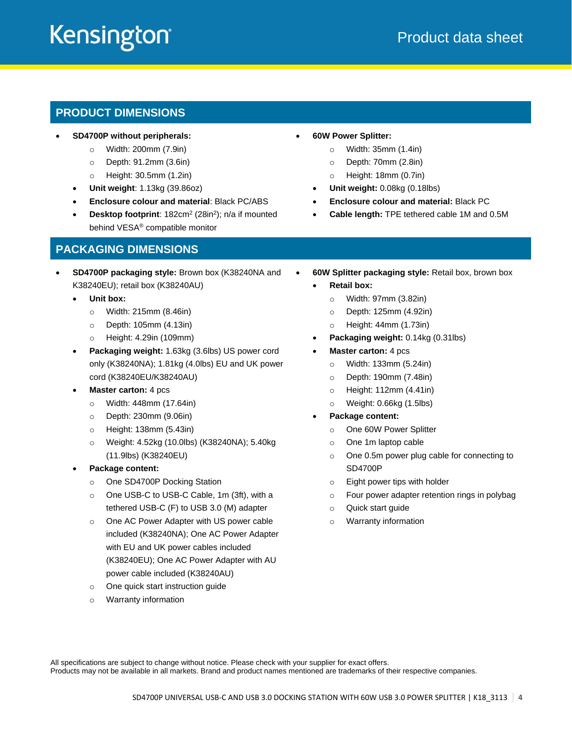#### **PRODUCT DIMENSIONS**

- **SD4700P without peripherals:**
	- o Width: 200mm (7.9in)
	- o Depth: 91.2mm (3.6in)
	- o Height: 30.5mm (1.2in)
	- **Unit weight**: 1.13kg (39.86oz)
	- **Enclosure colour and material**: Black PC/ABS
	- Desktop footprint: 182cm<sup>2</sup> (28in<sup>2</sup>); n/a if mounted behind VESA® compatible monitor

#### **PACKAGING DIMENSIONS**

- **SD4700P packaging style:** Brown box (K38240NA and K38240EU); retail box (K38240AU)
	- **Unit box:** 
		- o Width: 215mm (8.46in)
		- o Depth: 105mm (4.13in)
		- o Height: 4.29in (109mm)
	- **Packaging weight:** 1.63kg (3.6lbs) US power cord only (K38240NA); 1.81kg (4.0lbs) EU and UK power cord (K38240EU/K38240AU)
	- **Master carton:** 4 pcs
		- o Width: 448mm (17.64in)
		- o Depth: 230mm (9.06in)
		- o Height: 138mm (5.43in)
		- o Weight: 4.52kg (10.0lbs) (K38240NA); 5.40kg (11.9lbs) (K38240EU)
	- **Package content:**
		- o One SD4700P Docking Station
		- o One USB-C to USB-C Cable, 1m (3ft), with a tethered USB-C (F) to USB 3.0 (M) adapter
		- o One AC Power Adapter with US power cable included (K38240NA); One AC Power Adapter with EU and UK power cables included (K38240EU); One AC Power Adapter with AU power cable included (K38240AU)
		- One quick start instruction guide
		- o Warranty information
- **60W Power Splitter:**
	- o Width: 35mm (1.4in)
	- o Depth: 70mm (2.8in)
	- o Height: 18mm (0.7in)
	- **Unit weight:** 0.08kg (0.18lbs)
	- **Enclosure colour and material:** Black PC
	- **Cable length:** TPE tethered cable 1M and 0.5M
- **60W Splitter packaging style:** Retail box, brown box
	- **Retail box:**
		- o Width: 97mm (3.82in)
		- o Depth: 125mm (4.92in)
		- o Height: 44mm (1.73in)
	- **Packaging weight:** 0.14kg (0.31lbs)
	- **Master carton:** 4 pcs
		- o Width: 133mm (5.24in)
		- o Depth: 190mm (7.48in)
		- o Height: 112mm (4.41in)
		- o Weight: 0.66kg (1.5lbs)
	- **Package content:**
		- o One 60W Power Splitter
		- o One 1m laptop cable
		- o One 0.5m power plug cable for connecting to SD4700P
		- o Eight power tips with holder
		- o Four power adapter retention rings in polybag
		- o Quick start guide
		- o Warranty information

All specifications are subject to change without notice. Please check with your supplier for exact offers.

Products may not be available in all markets. Brand and product names mentioned are trademarks of their respective companies.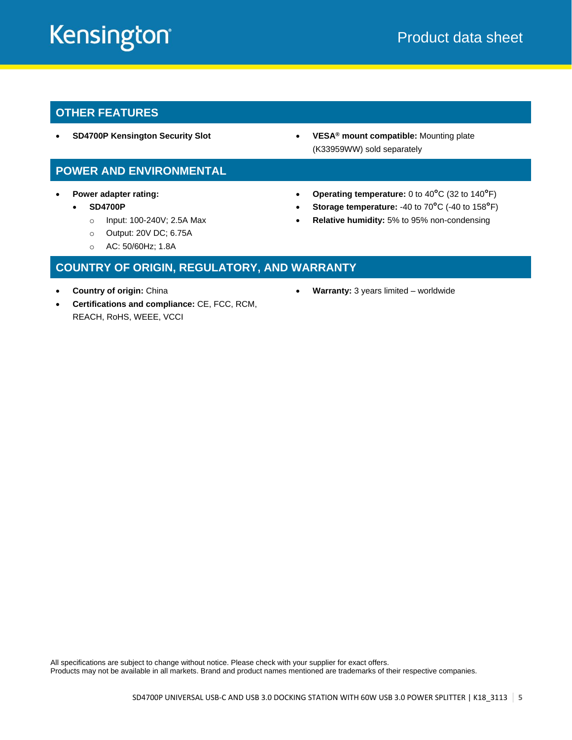#### **OTHER FEATURES**

• **SD4700P Kensington Security Slot** • **VESA® mount compatible:** Mounting plate

#### **POWER AND ENVIRONMENTAL**

- **Power adapter rating:**
	- **SD4700P**
		- o Input: 100-240V; 2.5A Max
		- o Output: 20V DC; 6.75A
		- o AC: 50/60Hz; 1.8A

### **COUNTRY OF ORIGIN, REGULATORY, AND WARRANTY**

- **Country of origin:** China
- **Certifications and compliance:** CE, FCC, RCM, REACH, RoHS, WEEE, VCCI
- (K33959WW) sold separately
- **Operating temperature:** 0 to 40**°**C (32 to 140**°**F)
- **Storage temperature:** -40 to 70**°**C (-40 to 158**°**F)
- **Relative humidity:** 5% to 95% non-condensing

• **Warranty:** 3 years limited – worldwide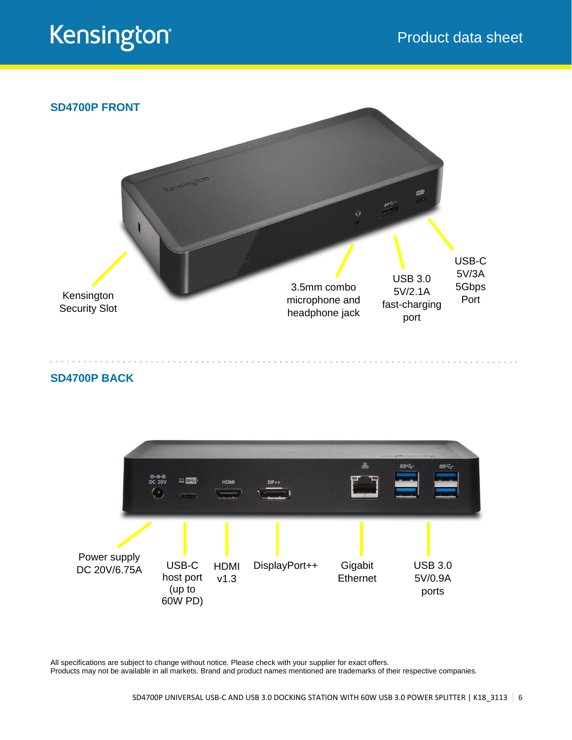

#### **SD4700P BACK**



All specifications are subject to change without notice. Please check with your supplier for exact offers.

Products may not be available in all markets. Brand and product names mentioned are trademarks of their respective companies.